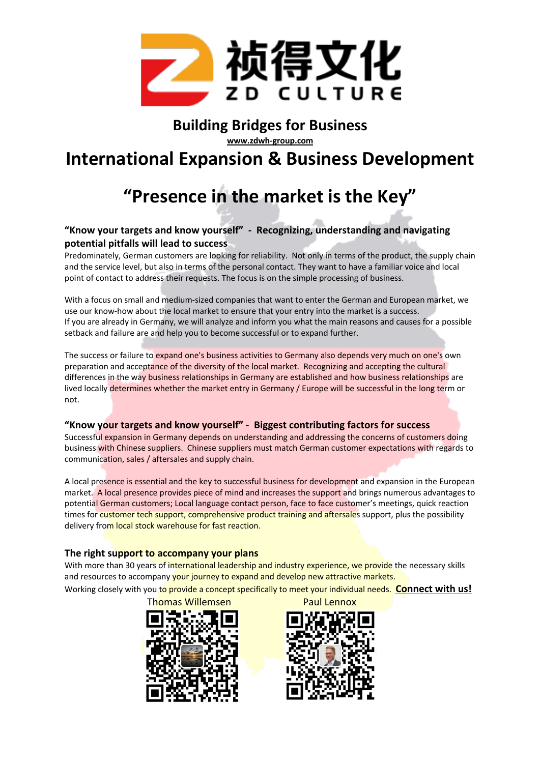

# **Building Bridges for Business**

**www.zdwh-group.com**

## **International Expansion & Business Development**

# **"Presence in the market is the Key"**

### **"Know your targets and know yourself" - Recognizing, understanding and navigating potential pitfalls will lead to success**

Predominately, German customers are looking for reliability. Not only in terms of the product, the supply chain and the service level, but also in terms of the personal contact. They want to have a familiar voice and local point of contact to address their requests. The focus is on the simple processing of business.

With a focus on small and medium-sized companies that want to enter the German and European market, we use our know-how about the local market to ensure that your entry into the market is a success. If you are already in Germany, we will analyze and inform you what the main reasons and causes for a possible setback and failure are and help you to become successful or to expand further.

The success or failure to expand one's business activities to Germany also depends very much on one's own preparation and acceptance of the diversity of the local market. Recognizing and accepting the cultural differences in the way business relationships in Germany are established and how business relationships are lived locally determines whether the market entry in Germany / Europe will be successful in the long term or not.

#### **"Know your targets and know yourself" - Biggest contributing factors for success**

Successful expansion in Germany depends on understanding and addressing the concerns of customers doing business with Chinese suppliers. Chinese suppliers must match German customer expectations with regards to communication, sales / aftersales and supply chain.

A local presence is essential and the key to successful business for development and expansion in the European market. A local presence provides piece of mind and increases the support and brings numerous advantages to potential German customers; Local language contact person, face to face customer's meetings, quick reaction times for customer tech support, comprehensive product training and aftersales support, plus the possibility delivery from local stock warehouse for fast reaction.

#### **The right support to accompany your plans**

With more than 30 years of international leadership and industry experience, we provide the necessary skills and resources to accompany your journey to expand and develop new attractive markets.

Working closely with you to provide a concept specifically to meet your individual needs. **Connect with us!** 

Thomas Willemsen